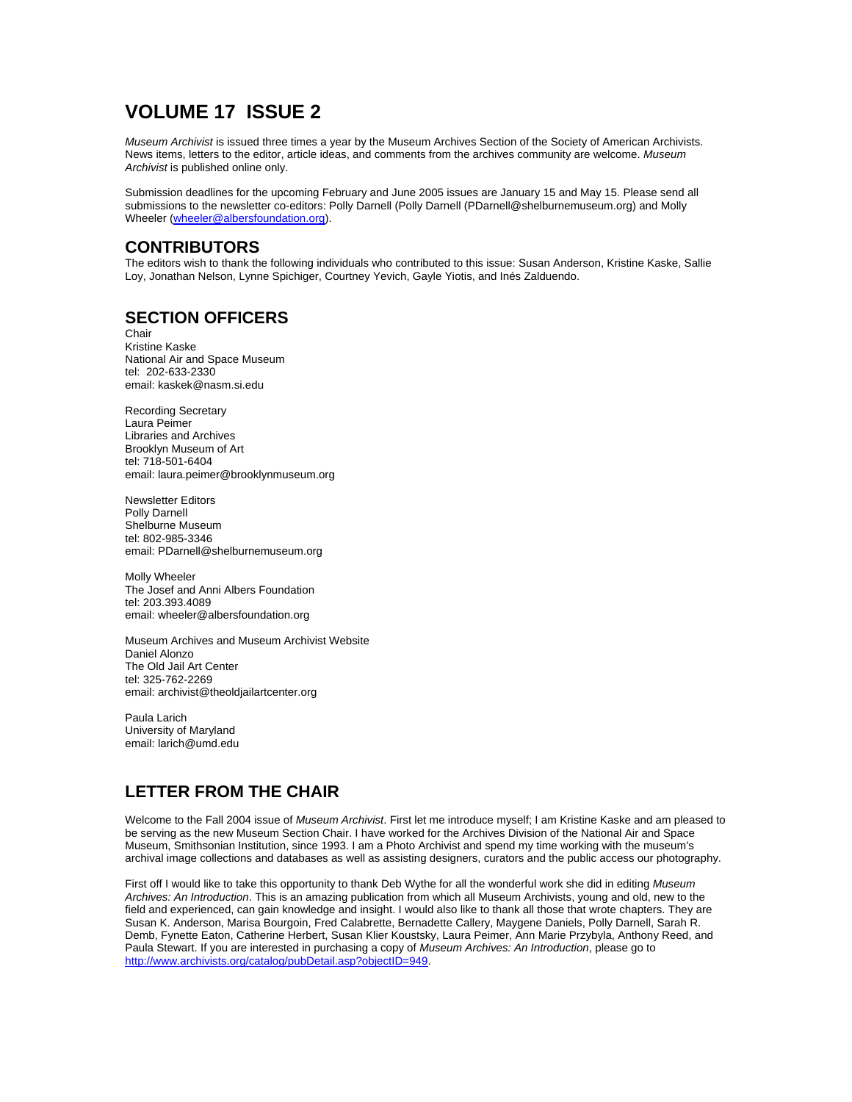# **VOLUME 17 ISSUE 2**

*Museum Archivist* is issued three times a year by the Museum Archives Section of the Society of American Archivists. News items, letters to the editor, article ideas, and comments from the archives community are welcome. *Museum Archivist* is published online only.

Submission deadlines for the upcoming February and June 2005 issues are January 15 and May 15. Please send all submissions to the newsletter co-editors: Polly Darnell (Polly Darnell (PDarnell@shelburnemuseum.org) and Molly Wheeler (wheeler@albersfoundation.org).

## **CONTRIBUTORS**

The editors wish to thank the following individuals who contributed to this issue: Susan Anderson, Kristine Kaske, Sallie Loy, Jonathan Nelson, Lynne Spichiger, Courtney Yevich, Gayle Yiotis, and Inés Zalduendo.

# **SECTION OFFICERS**

Chair Kristine Kaske National Air and Space Museum tel: 202-633-2330 email: kaskek@nasm.si.edu

Recording Secretary Laura Peimer Libraries and Archives Brooklyn Museum of Art tel: 718-501-6404 email: laura.peimer@brooklynmuseum.org

Newsletter Editors Polly Darnell Shelburne Museum tel: 802-985-3346 email: PDarnell@shelburnemuseum.org

Molly Wheeler The Josef and Anni Albers Foundation tel: 203.393.4089 email: wheeler@albersfoundation.org

Museum Archives and Museum Archivist Website Daniel Alonzo The Old Jail Art Center tel: 325-762-2269 email: archivist@theoldjailartcenter.org

Paula Larich University of Maryland email: larich@umd.edu

# **LETTER FROM THE CHAIR**

Welcome to the Fall 2004 issue of *Museum Archivist*. First let me introduce myself; I am Kristine Kaske and am pleased to be serving as the new Museum Section Chair. I have worked for the Archives Division of the National Air and Space Museum, Smithsonian Institution, since 1993. I am a Photo Archivist and spend my time working with the museum's archival image collections and databases as well as assisting designers, curators and the public access our photography.

First off I would like to take this opportunity to thank Deb Wythe for all the wonderful work she did in editing *Museum Archives: An Introduction*. This is an amazing publication from which all Museum Archivists, young and old, new to the field and experienced, can gain knowledge and insight. I would also like to thank all those that wrote chapters. They are Susan K. Anderson, Marisa Bourgoin, Fred Calabrette, Bernadette Callery, Maygene Daniels, Polly Darnell, Sarah R. Demb, Fynette Eaton, Catherine Herbert, Susan Klier Koustsky, Laura Peimer, Ann Marie Przybyla, Anthony Reed, and Paula Stewart. If you are interested in purchasing a copy of *Museum Archives: An Introduction*, please go to http://www.archivists.org/catalog/pubDetail.asp?objectID=949.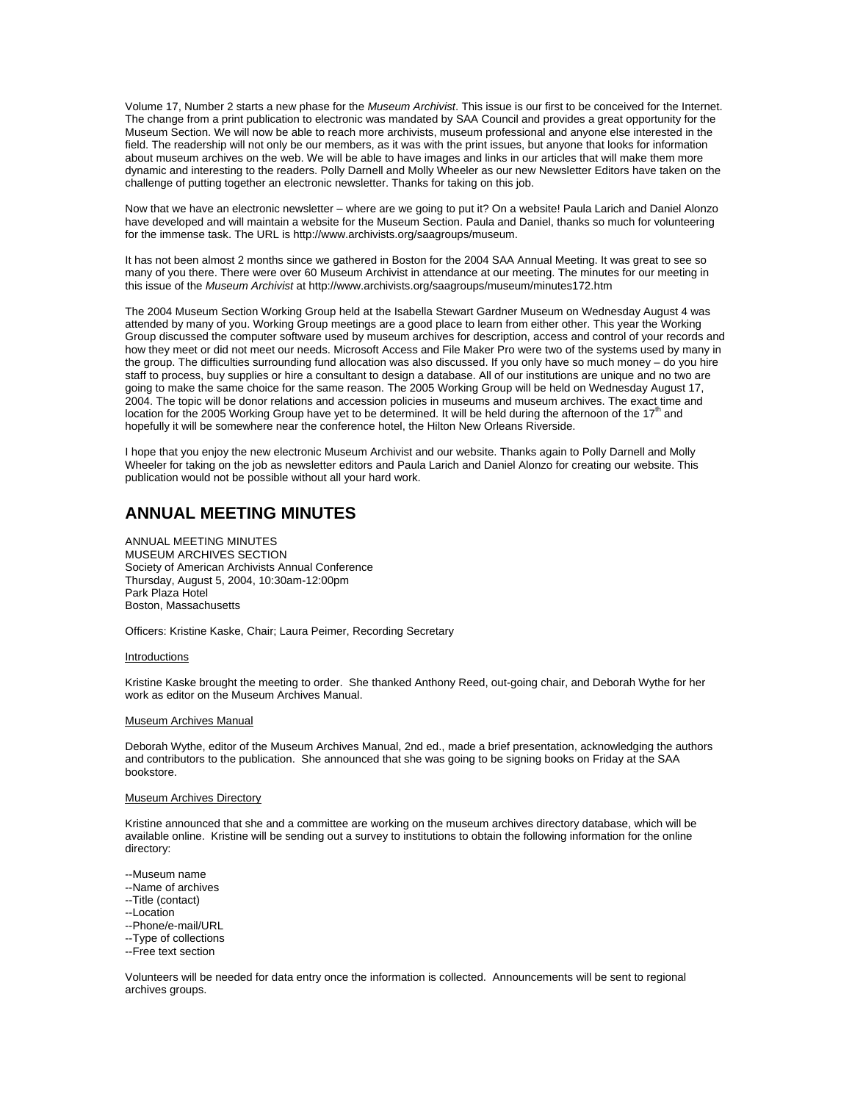Volume 17, Number 2 starts a new phase for the *Museum Archivist*. This issue is our first to be conceived for the Internet. The change from a print publication to electronic was mandated by SAA Council and provides a great opportunity for the Museum Section. We will now be able to reach more archivists, museum professional and anyone else interested in the field. The readership will not only be our members, as it was with the print issues, but anyone that looks for information about museum archives on the web. We will be able to have images and links in our articles that will make them more dynamic and interesting to the readers. Polly Darnell and Molly Wheeler as our new Newsletter Editors have taken on the challenge of putting together an electronic newsletter. Thanks for taking on this job.

Now that we have an electronic newsletter – where are we going to put it? On a website! Paula Larich and Daniel Alonzo have developed and will maintain a website for the Museum Section. Paula and Daniel, thanks so much for volunteering for the immense task. The URL is http://www.archivists.org/saagroups/museum.

It has not been almost 2 months since we gathered in Boston for the 2004 SAA Annual Meeting. It was great to see so many of you there. There were over 60 Museum Archivist in attendance at our meeting. The minutes for our meeting in this issue of the *Museum Archivist* at http://www.archivists.org/saagroups/museum/minutes172.htm

The 2004 Museum Section Working Group held at the Isabella Stewart Gardner Museum on Wednesday August 4 was attended by many of you. Working Group meetings are a good place to learn from either other. This year the Working Group discussed the computer software used by museum archives for description, access and control of your records and how they meet or did not meet our needs. Microsoft Access and File Maker Pro were two of the systems used by many in the group. The difficulties surrounding fund allocation was also discussed. If you only have so much money – do you hire staff to process, buy supplies or hire a consultant to design a database. All of our institutions are unique and no two are going to make the same choice for the same reason. The 2005 Working Group will be held on Wednesday August 17, 2004. The topic will be donor relations and accession policies in museums and museum archives. The exact time and location for the 2005 Working Group have yet to be determined. It will be held during the afternoon of the  $17<sup>th</sup>$  and hopefully it will be somewhere near the conference hotel, the Hilton New Orleans Riverside.

I hope that you enjoy the new electronic Museum Archivist and our website. Thanks again to Polly Darnell and Molly Wheeler for taking on the job as newsletter editors and Paula Larich and Daniel Alonzo for creating our website. This publication would not be possible without all your hard work.

### **ANNUAL MEETING MINUTES**

ANNUAL MEETING MINUTES MUSEUM ARCHIVES SECTION Society of American Archivists Annual Conference Thursday, August 5, 2004, 10:30am-12:00pm Park Plaza Hotel Boston, Massachusetts

Officers: Kristine Kaske, Chair; Laura Peimer, Recording Secretary

#### Introductions

Kristine Kaske brought the meeting to order. She thanked Anthony Reed, out-going chair, and Deborah Wythe for her work as editor on the Museum Archives Manual.

#### Museum Archives Manual

Deborah Wythe, editor of the Museum Archives Manual, 2nd ed., made a brief presentation, acknowledging the authors and contributors to the publication. She announced that she was going to be signing books on Friday at the SAA bookstore.

#### Museum Archives Directory

Kristine announced that she and a committee are working on the museum archives directory database, which will be available online. Kristine will be sending out a survey to institutions to obtain the following information for the online directory:

- --Museum name
- --Name of archives
- --Title (contact)
- --Location
- --Phone/e-mail/URL
- --Type of collections
- --Free text section

Volunteers will be needed for data entry once the information is collected. Announcements will be sent to regional archives groups.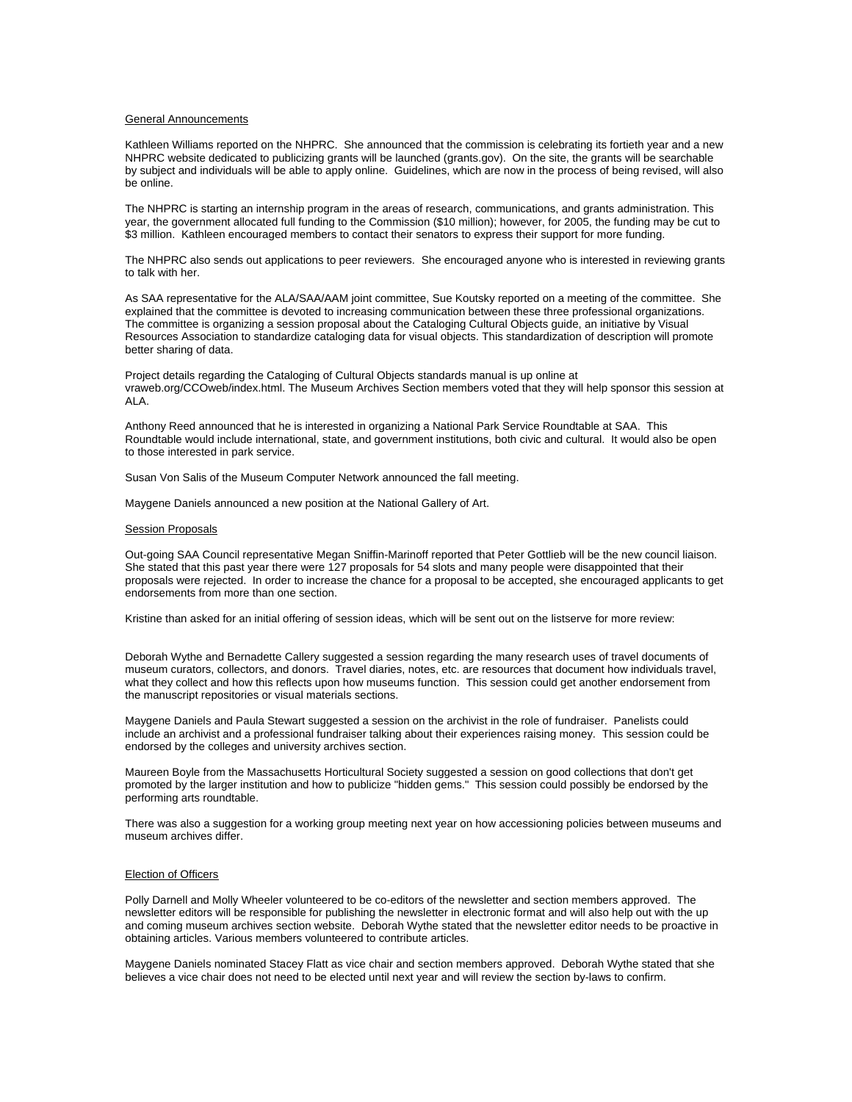#### General Announcements

Kathleen Williams reported on the NHPRC. She announced that the commission is celebrating its fortieth year and a new NHPRC website dedicated to publicizing grants will be launched (grants.gov). On the site, the grants will be searchable by subject and individuals will be able to apply online. Guidelines, which are now in the process of being revised, will also be online.

The NHPRC is starting an internship program in the areas of research, communications, and grants administration. This year, the government allocated full funding to the Commission (\$10 million); however, for 2005, the funding may be cut to \$3 million. Kathleen encouraged members to contact their senators to express their support for more funding.

The NHPRC also sends out applications to peer reviewers. She encouraged anyone who is interested in reviewing grants to talk with her.

As SAA representative for the ALA/SAA/AAM joint committee, Sue Koutsky reported on a meeting of the committee. She explained that the committee is devoted to increasing communication between these three professional organizations. The committee is organizing a session proposal about the Cataloging Cultural Objects guide, an initiative by Visual Resources Association to standardize cataloging data for visual objects. This standardization of description will promote better sharing of data.

Project details regarding the Cataloging of Cultural Objects standards manual is up online at vraweb.org/CCOweb/index.html. The Museum Archives Section members voted that they will help sponsor this session at ALA.

Anthony Reed announced that he is interested in organizing a National Park Service Roundtable at SAA. This Roundtable would include international, state, and government institutions, both civic and cultural. It would also be open to those interested in park service.

Susan Von Salis of the Museum Computer Network announced the fall meeting.

Maygene Daniels announced a new position at the National Gallery of Art.

#### **Session Proposals**

Out-going SAA Council representative Megan Sniffin-Marinoff reported that Peter Gottlieb will be the new council liaison. She stated that this past year there were 127 proposals for 54 slots and many people were disappointed that their proposals were rejected. In order to increase the chance for a proposal to be accepted, she encouraged applicants to get endorsements from more than one section.

Kristine than asked for an initial offering of session ideas, which will be sent out on the listserve for more review:

Deborah Wythe and Bernadette Callery suggested a session regarding the many research uses of travel documents of museum curators, collectors, and donors. Travel diaries, notes, etc. are resources that document how individuals travel, what they collect and how this reflects upon how museums function. This session could get another endorsement from the manuscript repositories or visual materials sections.

Maygene Daniels and Paula Stewart suggested a session on the archivist in the role of fundraiser. Panelists could include an archivist and a professional fundraiser talking about their experiences raising money. This session could be endorsed by the colleges and university archives section.

Maureen Boyle from the Massachusetts Horticultural Society suggested a session on good collections that don't get promoted by the larger institution and how to publicize "hidden gems." This session could possibly be endorsed by the performing arts roundtable.

There was also a suggestion for a working group meeting next year on how accessioning policies between museums and museum archives differ.

#### Election of Officers

Polly Darnell and Molly Wheeler volunteered to be co-editors of the newsletter and section members approved. The newsletter editors will be responsible for publishing the newsletter in electronic format and will also help out with the up and coming museum archives section website. Deborah Wythe stated that the newsletter editor needs to be proactive in obtaining articles. Various members volunteered to contribute articles.

Maygene Daniels nominated Stacey Flatt as vice chair and section members approved. Deborah Wythe stated that she believes a vice chair does not need to be elected until next year and will review the section by-laws to confirm.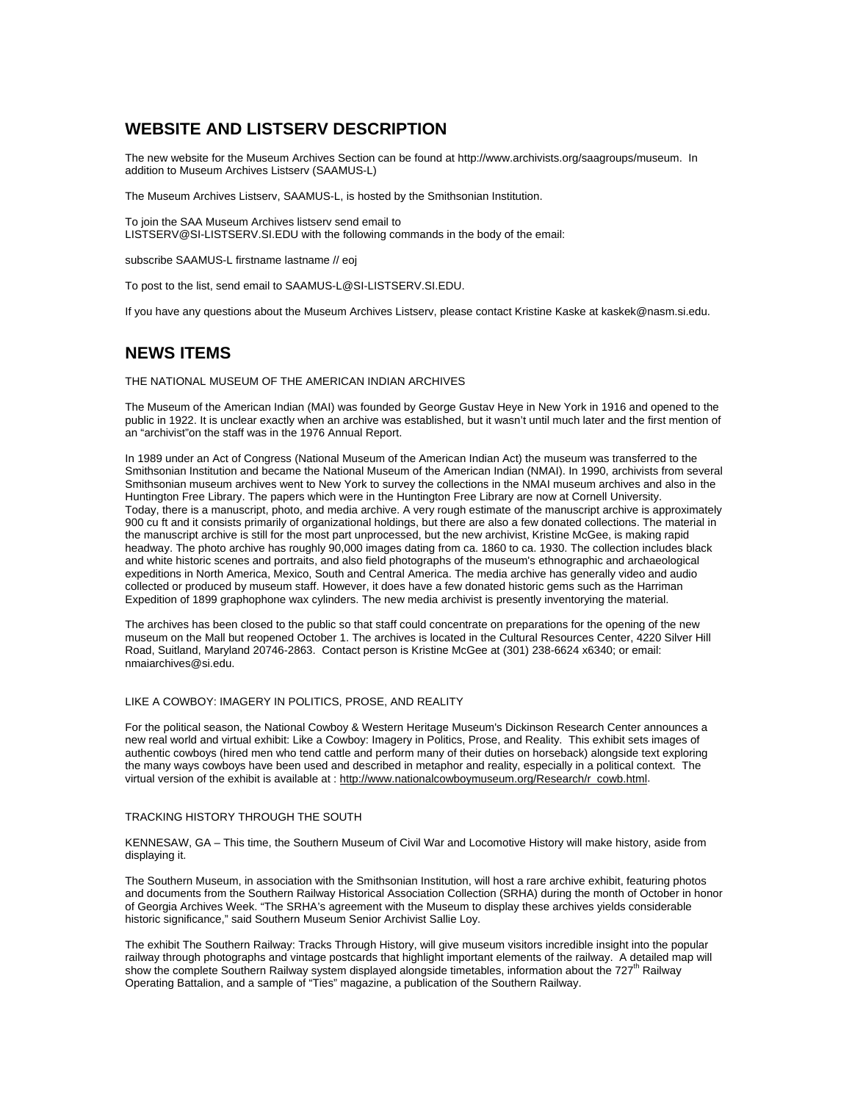## **WEBSITE AND LISTSERV DESCRIPTION**

The new website for the Museum Archives Section can be found at http://www.archivists.org/saagroups/museum. In addition to Museum Archives Listserv (SAAMUS-L)

The Museum Archives Listserv, SAAMUS-L, is hosted by the Smithsonian Institution.

To join the SAA Museum Archives listserv send email to LISTSERV@SI-LISTSERV.SI.EDU with the following commands in the body of the email:

subscribe SAAMUS-L firstname lastname // eoj

To post to the list, send email to SAAMUS-L@SI-LISTSERV.SI.EDU.

If you have any questions about the Museum Archives Listserv, please contact Kristine Kaske at kaskek@nasm.si.edu.

### **NEWS ITEMS**

THE NATIONAL MUSEUM OF THE AMERICAN INDIAN ARCHIVES

The Museum of the American Indian (MAI) was founded by George Gustav Heye in New York in 1916 and opened to the public in 1922. It is unclear exactly when an archive was established, but it wasn't until much later and the first mention of an "archivist"on the staff was in the 1976 Annual Report.

In 1989 under an Act of Congress (National Museum of the American Indian Act) the museum was transferred to the Smithsonian Institution and became the National Museum of the American Indian (NMAI). In 1990, archivists from several Smithsonian museum archives went to New York to survey the collections in the NMAI museum archives and also in the Huntington Free Library. The papers which were in the Huntington Free Library are now at Cornell University. Today, there is a manuscript, photo, and media archive. A very rough estimate of the manuscript archive is approximately 900 cu ft and it consists primarily of organizational holdings, but there are also a few donated collections. The material in the manuscript archive is still for the most part unprocessed, but the new archivist, Kristine McGee, is making rapid headway. The photo archive has roughly 90,000 images dating from ca. 1860 to ca. 1930. The collection includes black and white historic scenes and portraits, and also field photographs of the museum's ethnographic and archaeological expeditions in North America, Mexico, South and Central America. The media archive has generally video and audio collected or produced by museum staff. However, it does have a few donated historic gems such as the Harriman Expedition of 1899 graphophone wax cylinders. The new media archivist is presently inventorying the material.

The archives has been closed to the public so that staff could concentrate on preparations for the opening of the new museum on the Mall but reopened October 1. The archives is located in the Cultural Resources Center, 4220 Silver Hill Road, Suitland, Maryland 20746-2863. Contact person is Kristine McGee at (301) 238-6624 x6340; or email: nmaiarchives@si.edu.

#### LIKE A COWBOY: IMAGERY IN POLITICS, PROSE, AND REALITY

For the political season, the National Cowboy & Western Heritage Museum's Dickinson Research Center announces a new real world and virtual exhibit: Like a Cowboy: Imagery in Politics, Prose, and Reality. This exhibit sets images of authentic cowboys (hired men who tend cattle and perform many of their duties on horseback) alongside text exploring the many ways cowboys have been used and described in metaphor and reality, especially in a political context. The virtual version of the exhibit is available at : http://www.nationalcowboymuseum.org/Research/r\_cowb.html.

#### TRACKING HISTORY THROUGH THE SOUTH

KENNESAW, GA – This time, the Southern Museum of Civil War and Locomotive History will make history, aside from displaying it.

The Southern Museum, in association with the Smithsonian Institution, will host a rare archive exhibit, featuring photos and documents from the Southern Railway Historical Association Collection (SRHA) during the month of October in honor of Georgia Archives Week. "The SRHA's agreement with the Museum to display these archives yields considerable historic significance," said Southern Museum Senior Archivist Sallie Loy.

The exhibit The Southern Railway: Tracks Through History, will give museum visitors incredible insight into the popular railway through photographs and vintage postcards that highlight important elements of the railway. A detailed map will show the complete Southern Railway system displayed alongside timetables, information about the 727<sup>th</sup> Railway Operating Battalion, and a sample of "Ties" magazine, a publication of the Southern Railway.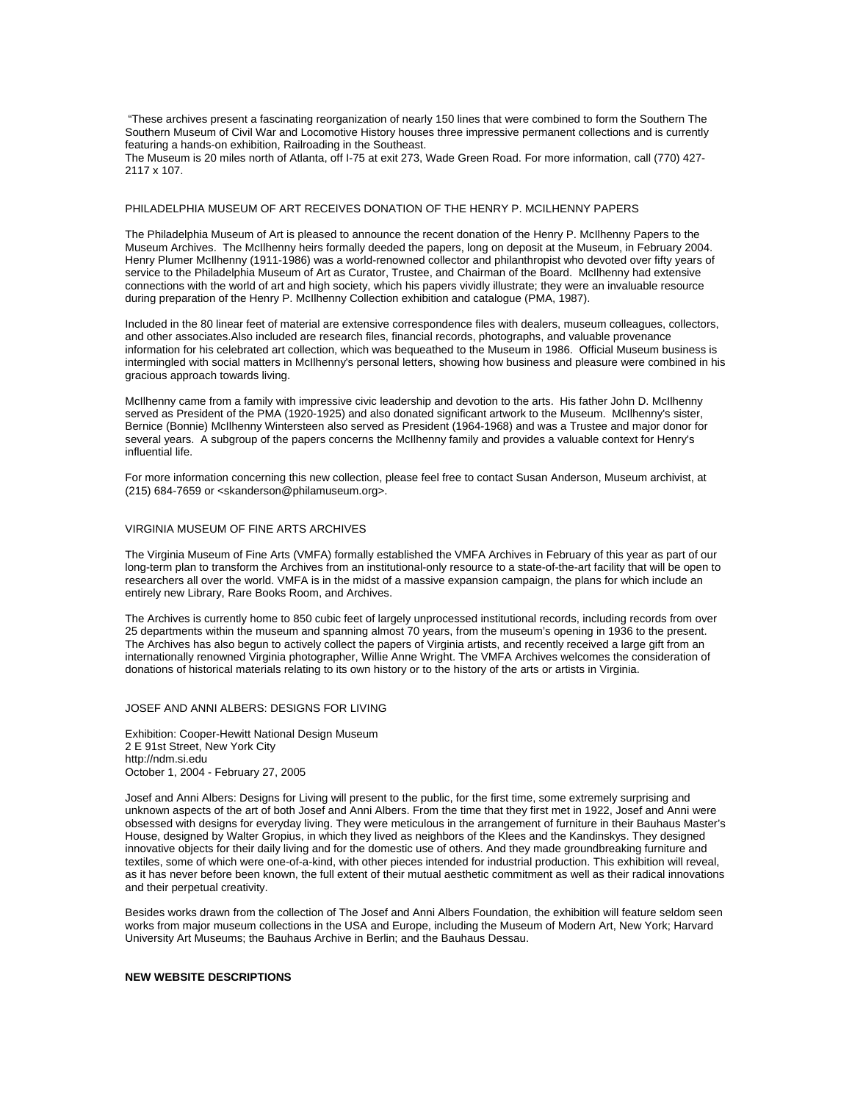"These archives present a fascinating reorganization of nearly 150 lines that were combined to form the Southern The Southern Museum of Civil War and Locomotive History houses three impressive permanent collections and is currently featuring a hands-on exhibition, Railroading in the Southeast.

The Museum is 20 miles north of Atlanta, off I-75 at exit 273, Wade Green Road. For more information, call (770) 427- 2117 x 107.

#### PHILADELPHIA MUSEUM OF ART RECEIVES DONATION OF THE HENRY P. MCILHENNY PAPERS

The Philadelphia Museum of Art is pleased to announce the recent donation of the Henry P. McIlhenny Papers to the Museum Archives. The McIlhenny heirs formally deeded the papers, long on deposit at the Museum, in February 2004. Henry Plumer McIlhenny (1911-1986) was a world-renowned collector and philanthropist who devoted over fifty years of service to the Philadelphia Museum of Art as Curator, Trustee, and Chairman of the Board. McIlhenny had extensive connections with the world of art and high society, which his papers vividly illustrate; they were an invaluable resource during preparation of the Henry P. McIlhenny Collection exhibition and catalogue (PMA, 1987).

Included in the 80 linear feet of material are extensive correspondence files with dealers, museum colleagues, collectors, and other associates.Also included are research files, financial records, photographs, and valuable provenance information for his celebrated art collection, which was bequeathed to the Museum in 1986. Official Museum business is intermingled with social matters in McIlhenny's personal letters, showing how business and pleasure were combined in his gracious approach towards living.

McIlhenny came from a family with impressive civic leadership and devotion to the arts. His father John D. McIlhenny served as President of the PMA (1920-1925) and also donated significant artwork to the Museum. McIlhenny's sister, Bernice (Bonnie) McIlhenny Wintersteen also served as President (1964-1968) and was a Trustee and major donor for several years. A subgroup of the papers concerns the McIlhenny family and provides a valuable context for Henry's influential life.

For more information concerning this new collection, please feel free to contact Susan Anderson, Museum archivist, at (215) 684-7659 or <skanderson@philamuseum.org>.

#### VIRGINIA MUSEUM OF FINE ARTS ARCHIVES

The Virginia Museum of Fine Arts (VMFA) formally established the VMFA Archives in February of this year as part of our long-term plan to transform the Archives from an institutional-only resource to a state-of-the-art facility that will be open to researchers all over the world. VMFA is in the midst of a massive expansion campaign, the plans for which include an entirely new Library, Rare Books Room, and Archives.

The Archives is currently home to 850 cubic feet of largely unprocessed institutional records, including records from over 25 departments within the museum and spanning almost 70 years, from the museum's opening in 1936 to the present. The Archives has also begun to actively collect the papers of Virginia artists, and recently received a large gift from an internationally renowned Virginia photographer, Willie Anne Wright. The VMFA Archives welcomes the consideration of donations of historical materials relating to its own history or to the history of the arts or artists in Virginia.

#### JOSEF AND ANNI ALBERS: DESIGNS FOR LIVING

Exhibition: Cooper-Hewitt National Design Museum 2 E 91st Street, New York City http://ndm.si.edu October 1, 2004 - February 27, 2005

Josef and Anni Albers: Designs for Living will present to the public, for the first time, some extremely surprising and unknown aspects of the art of both Josef and Anni Albers. From the time that they first met in 1922, Josef and Anni were obsessed with designs for everyday living. They were meticulous in the arrangement of furniture in their Bauhaus Master's House, designed by Walter Gropius, in which they lived as neighbors of the Klees and the Kandinskys. They designed innovative objects for their daily living and for the domestic use of others. And they made groundbreaking furniture and textiles, some of which were one-of-a-kind, with other pieces intended for industrial production. This exhibition will reveal, as it has never before been known, the full extent of their mutual aesthetic commitment as well as their radical innovations and their perpetual creativity.

Besides works drawn from the collection of The Josef and Anni Albers Foundation, the exhibition will feature seldom seen works from major museum collections in the USA and Europe, including the Museum of Modern Art, New York; Harvard University Art Museums; the Bauhaus Archive in Berlin; and the Bauhaus Dessau.

#### **NEW WEBSITE DESCRIPTIONS**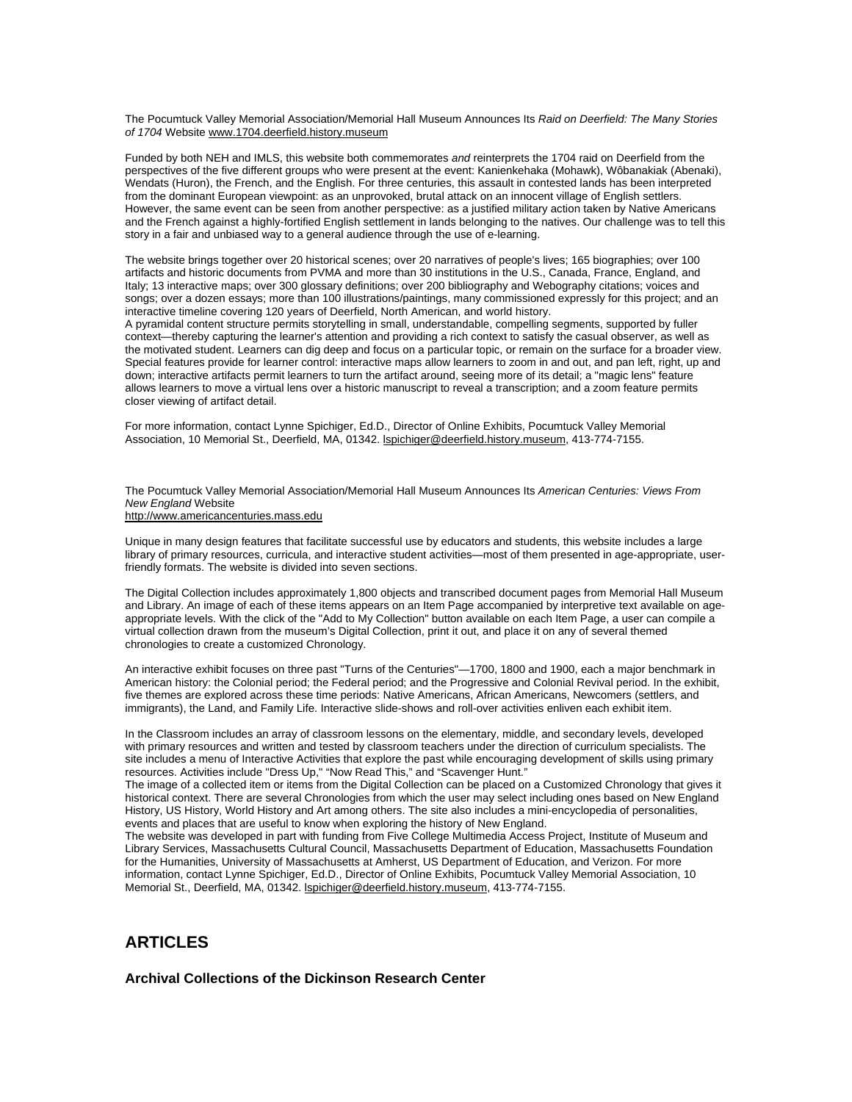The Pocumtuck Valley Memorial Association/Memorial Hall Museum Announces Its *Raid on Deerfield: The Many Stories of 1704* Website www.1704.deerfield.history.museum

Funded by both NEH and IMLS, this website both commemorates *and* reinterprets the 1704 raid on Deerfield from the perspectives of the five different groups who were present at the event: Kanienkehaka (Mohawk), Wôbanakiak (Abenaki), Wendats (Huron), the French, and the English. For three centuries, this assault in contested lands has been interpreted from the dominant European viewpoint: as an unprovoked, brutal attack on an innocent village of English settlers. However, the same event can be seen from another perspective: as a justified military action taken by Native Americans and the French against a highly-fortified English settlement in lands belonging to the natives. Our challenge was to tell this story in a fair and unbiased way to a general audience through the use of e-learning.

The website brings together over 20 historical scenes; over 20 narratives of people's lives; 165 biographies; over 100 artifacts and historic documents from PVMA and more than 30 institutions in the U.S., Canada, France, England, and Italy; 13 interactive maps; over 300 glossary definitions; over 200 bibliography and Webography citations; voices and songs; over a dozen essays; more than 100 illustrations/paintings, many commissioned expressly for this project; and an interactive timeline covering 120 years of Deerfield, North American, and world history.

A pyramidal content structure permits storytelling in small, understandable, compelling segments, supported by fuller context—thereby capturing the learner's attention and providing a rich context to satisfy the casual observer, as well as the motivated student. Learners can dig deep and focus on a particular topic, or remain on the surface for a broader view. Special features provide for learner control: interactive maps allow learners to zoom in and out, and pan left, right, up and down; interactive artifacts permit learners to turn the artifact around, seeing more of its detail; a "magic lens" feature allows learners to move a virtual lens over a historic manuscript to reveal a transcription; and a zoom feature permits closer viewing of artifact detail.

For more information, contact Lynne Spichiger, Ed.D., Director of Online Exhibits, Pocumtuck Valley Memorial Association, 10 Memorial St., Deerfield, MA, 01342. lspichiger@deerfield.history.museum, 413-774-7155.

The Pocumtuck Valley Memorial Association/Memorial Hall Museum Announces Its *American Centuries: Views From New England* Website

### http://www.americancenturies.mass.edu

Unique in many design features that facilitate successful use by educators and students, this website includes a large library of primary resources, curricula, and interactive student activities—most of them presented in age-appropriate, userfriendly formats. The website is divided into seven sections.

The Digital Collection includes approximately 1,800 objects and transcribed document pages from Memorial Hall Museum and Library. An image of each of these items appears on an Item Page accompanied by interpretive text available on ageappropriate levels. With the click of the "Add to My Collection" button available on each Item Page, a user can compile a virtual collection drawn from the museum's Digital Collection, print it out, and place it on any of several themed chronologies to create a customized Chronology.

An interactive exhibit focuses on three past "Turns of the Centuries"—1700, 1800 and 1900, each a major benchmark in American history: the Colonial period; the Federal period; and the Progressive and Colonial Revival period. In the exhibit, five themes are explored across these time periods: Native Americans, African Americans, Newcomers (settlers, and immigrants), the Land, and Family Life. Interactive slide-shows and roll-over activities enliven each exhibit item.

In the Classroom includes an array of classroom lessons on the elementary, middle, and secondary levels, developed with primary resources and written and tested by classroom teachers under the direction of curriculum specialists. The site includes a menu of Interactive Activities that explore the past while encouraging development of skills using primary resources. Activities include "Dress Up," "Now Read This," and "Scavenger Hunt."

The image of a collected item or items from the Digital Collection can be placed on a Customized Chronology that gives it historical context. There are several Chronologies from which the user may select including ones based on New England History, US History, World History and Art among others. The site also includes a mini-encyclopedia of personalities, events and places that are useful to know when exploring the history of New England.

The website was developed in part with funding from Five College Multimedia Access Project, Institute of Museum and Library Services, Massachusetts Cultural Council, Massachusetts Department of Education, Massachusetts Foundation for the Humanities, University of Massachusetts at Amherst, US Department of Education, and Verizon. For more information, contact Lynne Spichiger, Ed.D., Director of Online Exhibits, Pocumtuck Valley Memorial Association, 10 Memorial St., Deerfield, MA, 01342. Ispichiger@deerfield.history.museum, 413-774-7155.

## **ARTICLES**

**Archival Collections of the Dickinson Research Center**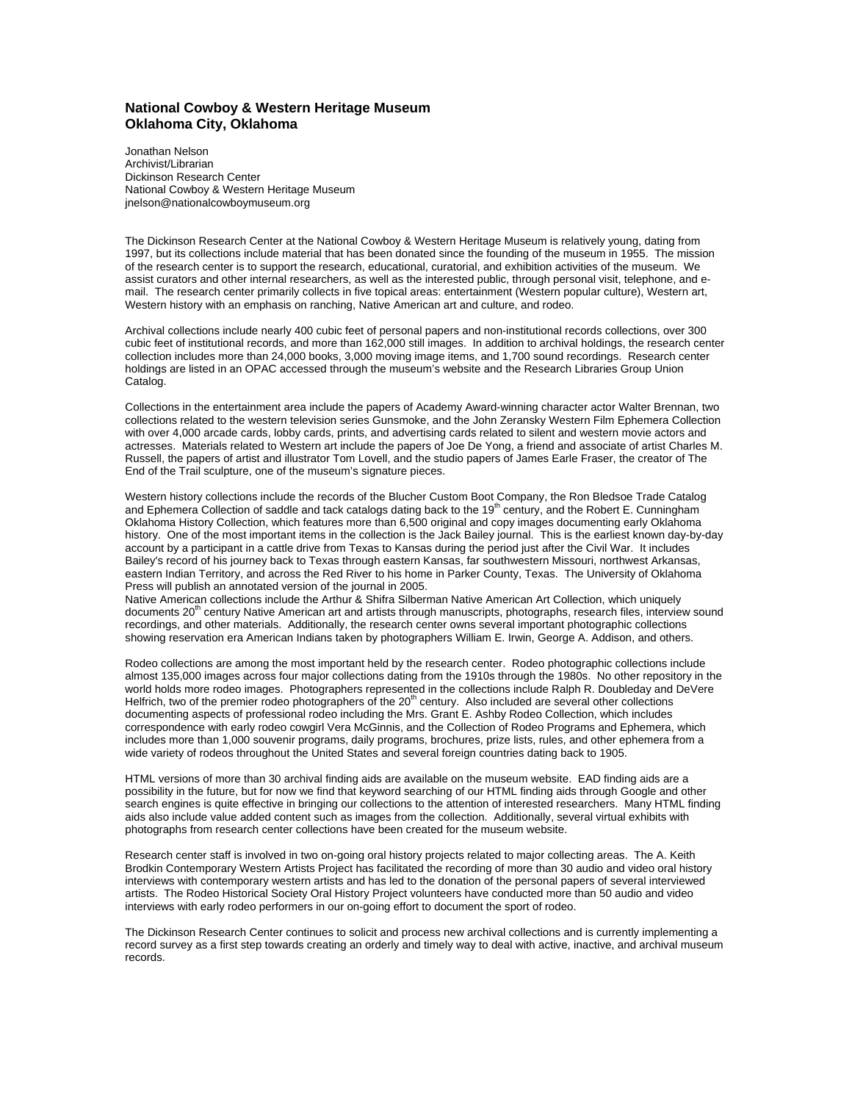### **National Cowboy & Western Heritage Museum Oklahoma City, Oklahoma**

Jonathan Nelson Archivist/Librarian Dickinson Research Center National Cowboy & Western Heritage Museum jnelson@nationalcowboymuseum.org

The Dickinson Research Center at the National Cowboy & Western Heritage Museum is relatively young, dating from 1997, but its collections include material that has been donated since the founding of the museum in 1955. The mission of the research center is to support the research, educational, curatorial, and exhibition activities of the museum. We assist curators and other internal researchers, as well as the interested public, through personal visit, telephone, and email. The research center primarily collects in five topical areas: entertainment (Western popular culture), Western art, Western history with an emphasis on ranching, Native American art and culture, and rodeo.

Archival collections include nearly 400 cubic feet of personal papers and non-institutional records collections, over 300 cubic feet of institutional records, and more than 162,000 still images. In addition to archival holdings, the research center collection includes more than 24,000 books, 3,000 moving image items, and 1,700 sound recordings. Research center holdings are listed in an OPAC accessed through the museum's website and the Research Libraries Group Union Catalog.

Collections in the entertainment area include the papers of Academy Award-winning character actor Walter Brennan, two collections related to the western television series Gunsmoke, and the John Zeransky Western Film Ephemera Collection with over 4,000 arcade cards, lobby cards, prints, and advertising cards related to silent and western movie actors and actresses. Materials related to Western art include the papers of Joe De Yong, a friend and associate of artist Charles M. Russell, the papers of artist and illustrator Tom Lovell, and the studio papers of James Earle Fraser, the creator of The End of the Trail sculpture, one of the museum's signature pieces.

Western history collections include the records of the Blucher Custom Boot Company, the Ron Bledsoe Trade Catalog and Ephemera Collection of saddle and tack catalogs dating back to the 19<sup>th</sup> century, and the Robert E. Cunningham Oklahoma History Collection, which features more than 6,500 original and copy images documenting early Oklahoma history. One of the most important items in the collection is the Jack Bailey journal. This is the earliest known day-by-day account by a participant in a cattle drive from Texas to Kansas during the period just after the Civil War. It includes Bailey's record of his journey back to Texas through eastern Kansas, far southwestern Missouri, northwest Arkansas, eastern Indian Territory, and across the Red River to his home in Parker County, Texas. The University of Oklahoma Press will publish an annotated version of the journal in 2005.

Native American collections include the Arthur & Shifra Silberman Native American Art Collection, which uniquely documents 20<sup>th</sup> century Native American art and artists through manuscripts, photographs, research files, interview sound recordings, and other materials. Additionally, the research center owns several important photographic collections showing reservation era American Indians taken by photographers William E. Irwin, George A. Addison, and others.

Rodeo collections are among the most important held by the research center. Rodeo photographic collections include almost 135,000 images across four major collections dating from the 1910s through the 1980s. No other repository in the world holds more rodeo images. Photographers represented in the collections include Ralph R. Doubleday and DeVere Helfrich, two of the premier rodeo photographers of the  $20<sup>th</sup>$  century. Also included are several other collections documenting aspects of professional rodeo including the Mrs. Grant E. Ashby Rodeo Collection, which includes correspondence with early rodeo cowgirl Vera McGinnis, and the Collection of Rodeo Programs and Ephemera, which includes more than 1,000 souvenir programs, daily programs, brochures, prize lists, rules, and other ephemera from a wide variety of rodeos throughout the United States and several foreign countries dating back to 1905.

HTML versions of more than 30 archival finding aids are available on the museum website. EAD finding aids are a possibility in the future, but for now we find that keyword searching of our HTML finding aids through Google and other search engines is quite effective in bringing our collections to the attention of interested researchers. Many HTML finding aids also include value added content such as images from the collection. Additionally, several virtual exhibits with photographs from research center collections have been created for the museum website.

Research center staff is involved in two on-going oral history projects related to major collecting areas. The A. Keith Brodkin Contemporary Western Artists Project has facilitated the recording of more than 30 audio and video oral history interviews with contemporary western artists and has led to the donation of the personal papers of several interviewed artists. The Rodeo Historical Society Oral History Project volunteers have conducted more than 50 audio and video interviews with early rodeo performers in our on-going effort to document the sport of rodeo.

The Dickinson Research Center continues to solicit and process new archival collections and is currently implementing a record survey as a first step towards creating an orderly and timely way to deal with active, inactive, and archival museum records.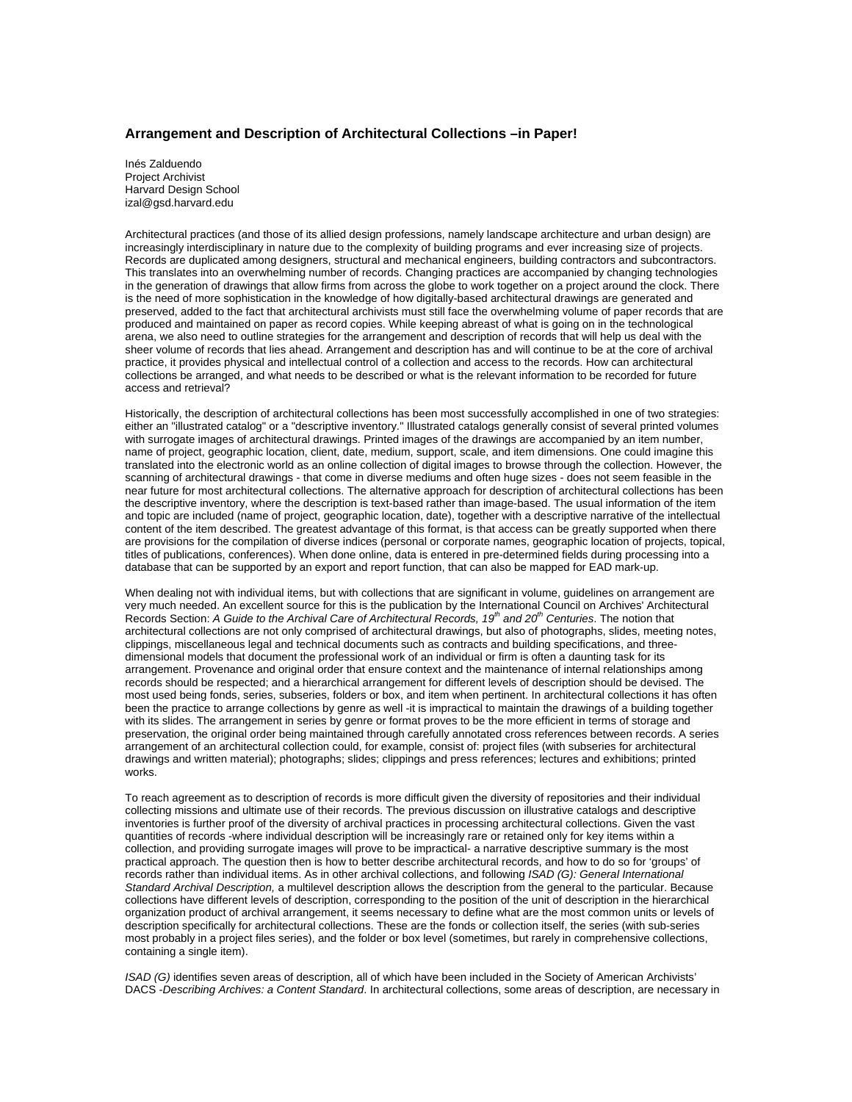### **Arrangement and Description of Architectural Collections –in Paper!**

Inés Zalduendo Project Archivist Harvard Design School izal@gsd.harvard.edu

Architectural practices (and those of its allied design professions, namely landscape architecture and urban design) are increasingly interdisciplinary in nature due to the complexity of building programs and ever increasing size of projects. Records are duplicated among designers, structural and mechanical engineers, building contractors and subcontractors. This translates into an overwhelming number of records. Changing practices are accompanied by changing technologies in the generation of drawings that allow firms from across the globe to work together on a project around the clock. There is the need of more sophistication in the knowledge of how digitally-based architectural drawings are generated and preserved, added to the fact that architectural archivists must still face the overwhelming volume of paper records that are produced and maintained on paper as record copies. While keeping abreast of what is going on in the technological arena, we also need to outline strategies for the arrangement and description of records that will help us deal with the sheer volume of records that lies ahead. Arrangement and description has and will continue to be at the core of archival practice, it provides physical and intellectual control of a collection and access to the records. How can architectural collections be arranged, and what needs to be described or what is the relevant information to be recorded for future access and retrieval?

Historically, the description of architectural collections has been most successfully accomplished in one of two strategies: either an "illustrated catalog" or a "descriptive inventory." Illustrated catalogs generally consist of several printed volumes with surrogate images of architectural drawings. Printed images of the drawings are accompanied by an item number, name of project, geographic location, client, date, medium, support, scale, and item dimensions. One could imagine this translated into the electronic world as an online collection of digital images to browse through the collection. However, the scanning of architectural drawings - that come in diverse mediums and often huge sizes - does not seem feasible in the near future for most architectural collections. The alternative approach for description of architectural collections has been the descriptive inventory, where the description is text-based rather than image-based. The usual information of the item and topic are included (name of project, geographic location, date), together with a descriptive narrative of the intellectual content of the item described. The greatest advantage of this format, is that access can be greatly supported when there are provisions for the compilation of diverse indices (personal or corporate names, geographic location of projects, topical, titles of publications, conferences). When done online, data is entered in pre-determined fields during processing into a database that can be supported by an export and report function, that can also be mapped for EAD mark-up.

When dealing not with individual items, but with collections that are significant in volume, guidelines on arrangement are very much needed. An excellent source for this is the publication by the International Council on Archives' Architectural Records Section: *A Guide to the Archival Care of Architectural Records, 19th and 20th Centuries*. The notion that architectural collections are not only comprised of architectural drawings, but also of photographs, slides, meeting notes, clippings, miscellaneous legal and technical documents such as contracts and building specifications, and threedimensional models that document the professional work of an individual or firm is often a daunting task for its arrangement. Provenance and original order that ensure context and the maintenance of internal relationships among records should be respected; and a hierarchical arrangement for different levels of description should be devised. The most used being fonds, series, subseries, folders or box, and item when pertinent. In architectural collections it has often been the practice to arrange collections by genre as well -it is impractical to maintain the drawings of a building together with its slides. The arrangement in series by genre or format proves to be the more efficient in terms of storage and preservation, the original order being maintained through carefully annotated cross references between records. A series arrangement of an architectural collection could, for example, consist of: project files (with subseries for architectural drawings and written material); photographs; slides; clippings and press references; lectures and exhibitions; printed works.

To reach agreement as to description of records is more difficult given the diversity of repositories and their individual collecting missions and ultimate use of their records. The previous discussion on illustrative catalogs and descriptive inventories is further proof of the diversity of archival practices in processing architectural collections. Given the vast quantities of records -where individual description will be increasingly rare or retained only for key items within a collection, and providing surrogate images will prove to be impractical- a narrative descriptive summary is the most practical approach. The question then is how to better describe architectural records, and how to do so for 'groups' of records rather than individual items. As in other archival collections, and following *ISAD (G): General International Standard Archival Description,* a multilevel description allows the description from the general to the particular. Because collections have different levels of description, corresponding to the position of the unit of description in the hierarchical organization product of archival arrangement, it seems necessary to define what are the most common units or levels of description specifically for architectural collections. These are the fonds or collection itself, the series (with sub-series most probably in a project files series), and the folder or box level (sometimes, but rarely in comprehensive collections, containing a single item).

*ISAD (G)* identifies seven areas of description, all of which have been included in the Society of American Archivists' DACS -*Describing Archives: a Content Standard*. In architectural collections, some areas of description, are necessary in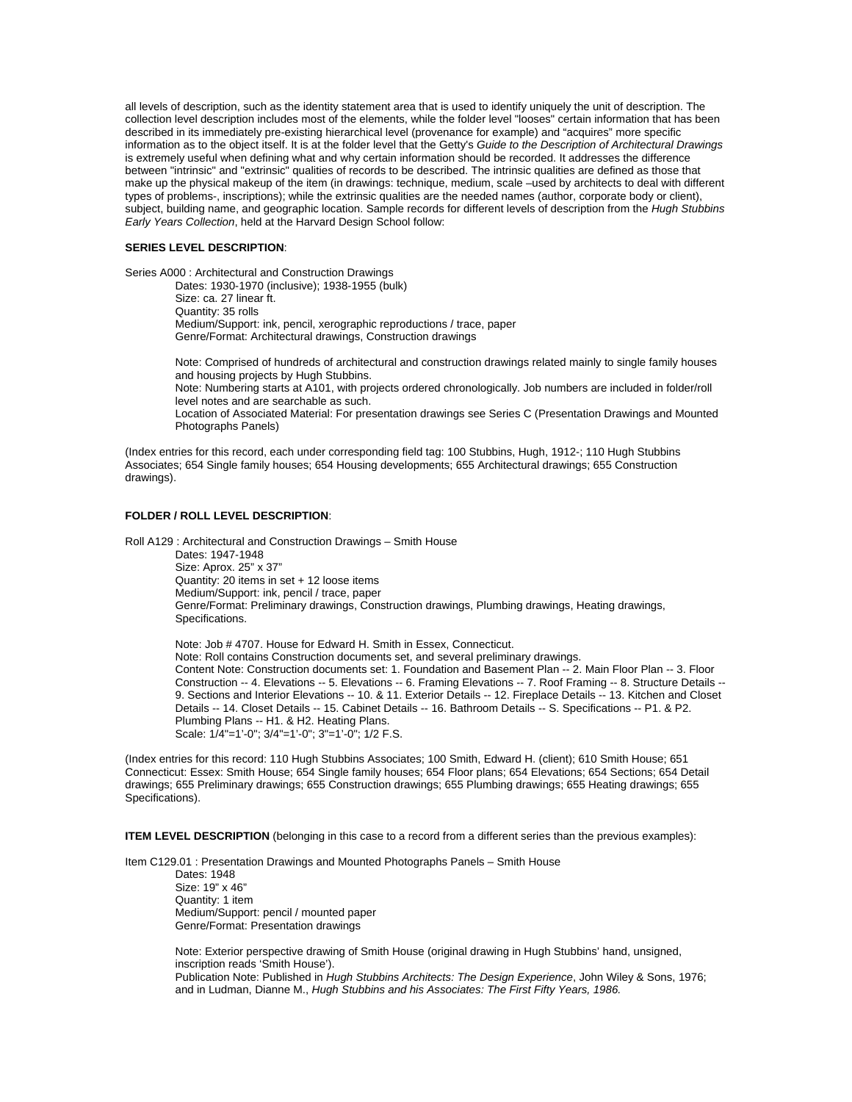all levels of description, such as the identity statement area that is used to identify uniquely the unit of description. The collection level description includes most of the elements, while the folder level "looses" certain information that has been described in its immediately pre-existing hierarchical level (provenance for example) and "acquires" more specific information as to the object itself. It is at the folder level that the Getty's *Guide to the Description of Architectural Drawings*  is extremely useful when defining what and why certain information should be recorded. It addresses the difference between "intrinsic" and "extrinsic" qualities of records to be described. The intrinsic qualities are defined as those that make up the physical makeup of the item (in drawings: technique, medium, scale –used by architects to deal with different types of problems-, inscriptions); while the extrinsic qualities are the needed names (author, corporate body or client), subject, building name, and geographic location. Sample records for different levels of description from the *Hugh Stubbins Early Years Collection*, held at the Harvard Design School follow:

#### **SERIES LEVEL DESCRIPTION**:

Series A000 : Architectural and Construction Drawings

Dates: 1930-1970 (inclusive); 1938-1955 (bulk) Size: ca. 27 linear ft. Quantity: 35 rolls Medium/Support: ink, pencil, xerographic reproductions / trace, paper Genre/Format: Architectural drawings, Construction drawings

Note: Comprised of hundreds of architectural and construction drawings related mainly to single family houses and housing projects by Hugh Stubbins.

Note: Numbering starts at A101, with projects ordered chronologically. Job numbers are included in folder/roll level notes and are searchable as such.

Location of Associated Material: For presentation drawings see Series C (Presentation Drawings and Mounted Photographs Panels)

(Index entries for this record, each under corresponding field tag: 100 Stubbins, Hugh, 1912-; 110 Hugh Stubbins Associates; 654 Single family houses; 654 Housing developments; 655 Architectural drawings; 655 Construction drawings).

#### **FOLDER / ROLL LEVEL DESCRIPTION**:

Roll A129 : Architectural and Construction Drawings – Smith House Dates: 1947-1948 Size: Aprox. 25" x 37" Quantity: 20 items in set + 12 loose items Medium/Support: ink, pencil / trace, paper Genre/Format: Preliminary drawings, Construction drawings, Plumbing drawings, Heating drawings, Specifications.

 Note: Job # 4707. House for Edward H. Smith in Essex, Connecticut. Note: Roll contains Construction documents set, and several preliminary drawings. Content Note: Construction documents set: 1. Foundation and Basement Plan -- 2. Main Floor Plan -- 3. Floor Construction -- 4. Elevations -- 5. Elevations -- 6. Framing Elevations -- 7. Roof Framing -- 8. Structure Details -- 9. Sections and Interior Elevations -- 10. & 11. Exterior Details -- 12. Fireplace Details -- 13. Kitchen and Closet Details -- 14. Closet Details -- 15. Cabinet Details -- 16. Bathroom Details -- S. Specifications -- P1. & P2. Plumbing Plans -- H1. & H2. Heating Plans. Scale: 1/4"=1'-0"; 3/4"=1'-0"; 3"=1'-0"; 1/2 F.S.

(Index entries for this record: 110 Hugh Stubbins Associates; 100 Smith, Edward H. (client); 610 Smith House; 651 Connecticut: Essex: Smith House; 654 Single family houses; 654 Floor plans; 654 Elevations; 654 Sections; 654 Detail drawings; 655 Preliminary drawings; 655 Construction drawings; 655 Plumbing drawings; 655 Heating drawings; 655 Specifications).

**ITEM LEVEL DESCRIPTION** (belonging in this case to a record from a different series than the previous examples):

Item C129.01 : Presentation Drawings and Mounted Photographs Panels – Smith House

 Dates: 1948 Size: 19" x 46" Quantity: 1 item Medium/Support: pencil / mounted paper Genre/Format: Presentation drawings

Note: Exterior perspective drawing of Smith House (original drawing in Hugh Stubbins' hand, unsigned, inscription reads 'Smith House').

Publication Note: Published in *Hugh Stubbins Architects: The Design Experience*, John Wiley & Sons, 1976; and in Ludman, Dianne M., *Hugh Stubbins and his Associates: The First Fifty Years, 1986.*